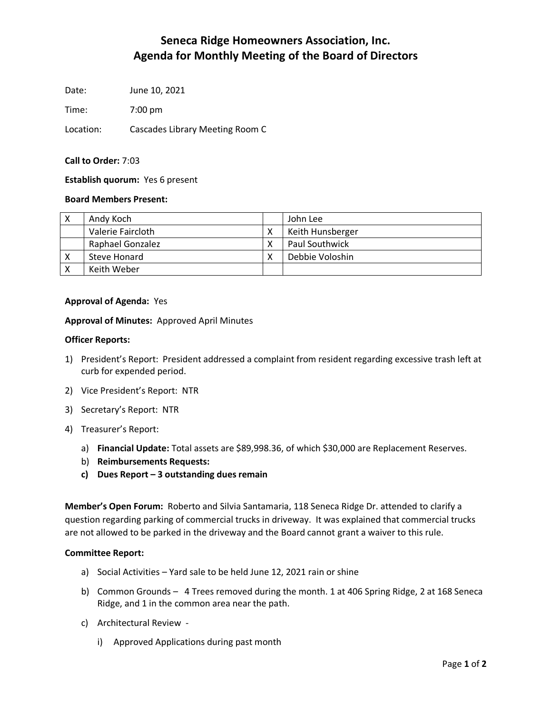# **Seneca Ridge Homeowners Association, Inc. Agenda for Monthly Meeting of the Board of Directors**

Date: June 10, 2021

Time: 7:00 pm

Location: Cascades Library Meeting Room C

## **Call to Order:** 7:03

## **Establish quorum:** Yes 6 present

### **Board Members Present:**

| Andy Koch         | John Lee              |
|-------------------|-----------------------|
| Valerie Faircloth | Keith Hunsberger      |
| Raphael Gonzalez  | <b>Paul Southwick</b> |
| Steve Honard      | Debbie Voloshin       |
| Keith Weber       |                       |

### **Approval of Agenda:** Yes

### **Approval of Minutes:** Approved April Minutes

### **Officer Reports:**

- 1) President's Report: President addressed a complaint from resident regarding excessive trash left at curb for expended period.
- 2) Vice President's Report: NTR
- 3) Secretary's Report: NTR
- 4) Treasurer's Report:
	- a) **Financial Update:** Total assets are \$89,998.36, of which \$30,000 are Replacement Reserves.
	- b) **Reimbursements Requests:**
	- **c) Dues Report – 3 outstanding dues remain**

**Member's Open Forum:** Roberto and Silvia Santamaria, 118 Seneca Ridge Dr. attended to clarify a question regarding parking of commercial trucks in driveway. It was explained that commercial trucks are not allowed to be parked in the driveway and the Board cannot grant a waiver to this rule.

### **Committee Report:**

- a) Social Activities Yard sale to be held June 12, 2021 rain or shine
- b) Common Grounds 4 Trees removed during the month. 1 at 406 Spring Ridge, 2 at 168 Seneca Ridge, and 1 in the common area near the path.
- c) Architectural Review
	- i) Approved Applications during past month